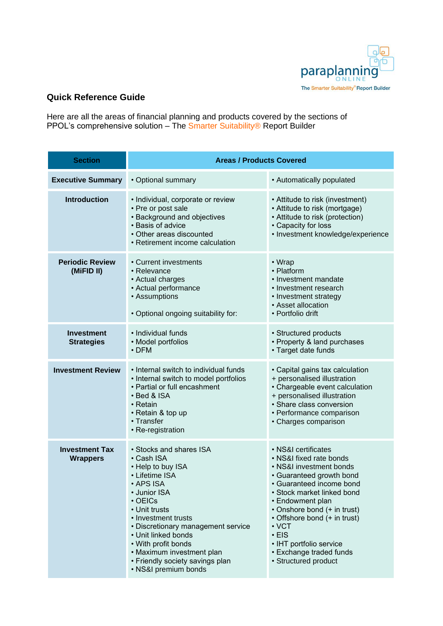

## **Quick Reference Guide**

Here are all the areas of financial planning and products covered by the sections of PPOL's comprehensive solution – The Smarter Suitability® Report Builder

| <b>Section</b>                           | <b>Areas / Products Covered</b>                                                                                                                                                                                                                                                                                                                |                                                                                                                                                                                                                                                                                                                                                                |
|------------------------------------------|------------------------------------------------------------------------------------------------------------------------------------------------------------------------------------------------------------------------------------------------------------------------------------------------------------------------------------------------|----------------------------------------------------------------------------------------------------------------------------------------------------------------------------------------------------------------------------------------------------------------------------------------------------------------------------------------------------------------|
| <b>Executive Summary</b>                 | • Optional summary                                                                                                                                                                                                                                                                                                                             | • Automatically populated                                                                                                                                                                                                                                                                                                                                      |
| <b>Introduction</b>                      | · Individual, corporate or review<br>• Pre or post sale<br>• Background and objectives<br>· Basis of advice<br>• Other areas discounted<br>• Retirement income calculation                                                                                                                                                                     | • Attitude to risk (investment)<br>• Attitude to risk (mortgage)<br>• Attitude to risk (protection)<br>• Capacity for loss<br>• Investment knowledge/experience                                                                                                                                                                                                |
| <b>Periodic Review</b><br>(MiFID II)     | • Current investments<br>• Relevance<br>• Actual charges<br>• Actual performance<br>• Assumptions<br>• Optional ongoing suitability for:                                                                                                                                                                                                       | • Wrap<br>• Platform<br>• Investment mandate<br>• Investment research<br>• Investment strategy<br>• Asset allocation<br>• Portfolio drift                                                                                                                                                                                                                      |
| <b>Investment</b><br><b>Strategies</b>   | · Individual funds<br>• Model portfolios<br>$\cdot$ DFM                                                                                                                                                                                                                                                                                        | • Structured products<br>• Property & land purchases<br>• Target date funds                                                                                                                                                                                                                                                                                    |
| <b>Investment Review</b>                 | • Internal switch to individual funds<br>• Internal switch to model portfolios<br>• Partial or full encashment<br>• Bed & ISA<br>$\cdot$ Retain<br>• Retain & top up<br>• Transfer<br>• Re-registration                                                                                                                                        | • Capital gains tax calculation<br>+ personalised illustration<br>• Chargeable event calculation<br>+ personalised illustration<br>• Share class conversion<br>• Performance comparison<br>• Charges comparison                                                                                                                                                |
| <b>Investment Tax</b><br><b>Wrappers</b> | • Stocks and shares ISA<br>• Cash ISA<br>• Help to buy ISA<br>• Lifetime ISA<br>• APS ISA<br>• Junior ISA<br>$\cdot$ OEICs<br>• Unit trusts<br>• Investment trusts<br>• Discretionary management service<br>• Unit linked bonds<br>• With profit bonds<br>• Maximum investment plan<br>• Friendly society savings plan<br>· NS&I premium bonds | · NS&I certificates<br>• NS&I fixed rate bonds<br>• NS&I investment bonds<br>• Guaranteed growth bond<br>• Guaranteed income bond<br>• Stock market linked bond<br>• Endowment plan<br>• Onshore bond (+ in trust)<br>• Offshore bond (+ in trust)<br>$\cdot$ VCT<br>$\cdot$ EIS<br>• IHT portfolio service<br>• Exchange traded funds<br>• Structured product |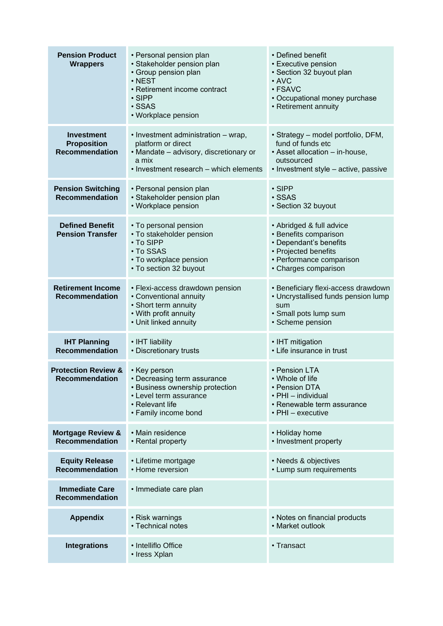| <b>Pension Product</b><br><b>Wrappers</b>                        | • Personal pension plan<br>· Stakeholder pension plan<br>• Group pension plan<br>$\cdot$ NEST<br>• Retirement income contract<br>$\cdot$ SIPP<br>· SSAS<br>• Workplace pension | • Defined benefit<br>• Executive pension<br>· Section 32 buyout plan<br>$\cdot$ AVC<br>· FSAVC<br>• Occupational money purchase<br>• Retirement annuity |
|------------------------------------------------------------------|--------------------------------------------------------------------------------------------------------------------------------------------------------------------------------|---------------------------------------------------------------------------------------------------------------------------------------------------------|
| <b>Investment</b><br><b>Proposition</b><br><b>Recommendation</b> | • Investment administration – wrap,<br>platform or direct<br>• Mandate - advisory, discretionary or<br>a mix<br>• Investment research - which elements                         | • Strategy – model portfolio, DFM,<br>fund of funds etc<br>· Asset allocation - in-house,<br>outsourced<br>• Investment style - active, passive         |
| <b>Pension Switching</b><br><b>Recommendation</b>                | • Personal pension plan<br>· Stakeholder pension plan<br>• Workplace pension                                                                                                   | $\cdot$ SIPP<br>· SSAS<br>• Section 32 buyout                                                                                                           |
| <b>Defined Benefit</b><br><b>Pension Transfer</b>                | • To personal pension<br>• To stakeholder pension<br>• To SIPP<br>• To SSAS<br>• To workplace pension<br>• To section 32 buyout                                                | • Abridged & full advice<br>• Benefits comparison<br>• Dependant's benefits<br>• Projected benefits<br>· Performance comparison<br>• Charges comparison |
| <b>Retirement Income</b><br><b>Recommendation</b>                | • Flexi-access drawdown pension<br>• Conventional annuity<br>• Short term annuity<br>• With profit annuity<br>• Unit linked annuity                                            | • Beneficiary flexi-access drawdown<br>• Uncrystallised funds pension lump<br>sum<br>· Small pots lump sum<br>· Scheme pension                          |
| <b>IHT Planning</b><br><b>Recommendation</b>                     | • IHT liability<br>• Discretionary trusts                                                                                                                                      | • IHT mitigation<br>• Life insurance in trust                                                                                                           |
| <b>Protection Review &amp;</b><br><b>Recommendation</b>          | • Key person<br>• Decreasing term assurance<br>• Business ownership protection<br>• Level term assurance<br>• Relevant life<br>• Family income bond                            | • Pension LTA<br>• Whole of life<br>• Pension DTA<br>• PHI - individual<br>• Renewable term assurance<br>• PHI - executive                              |
| <b>Mortgage Review &amp;</b><br><b>Recommendation</b>            | • Main residence<br>• Rental property                                                                                                                                          | • Holiday home<br>• Investment property                                                                                                                 |
| <b>Equity Release</b><br><b>Recommendation</b>                   | • Lifetime mortgage<br>• Home reversion                                                                                                                                        | • Needs & objectives<br>• Lump sum requirements                                                                                                         |
| <b>Immediate Care</b><br><b>Recommendation</b>                   | • Immediate care plan                                                                                                                                                          |                                                                                                                                                         |
| <b>Appendix</b>                                                  | • Risk warnings<br>• Technical notes                                                                                                                                           | • Notes on financial products<br>• Market outlook                                                                                                       |
| <b>Integrations</b>                                              | • Intelliflo Office<br>• Iress Xplan                                                                                                                                           | • Transact                                                                                                                                              |